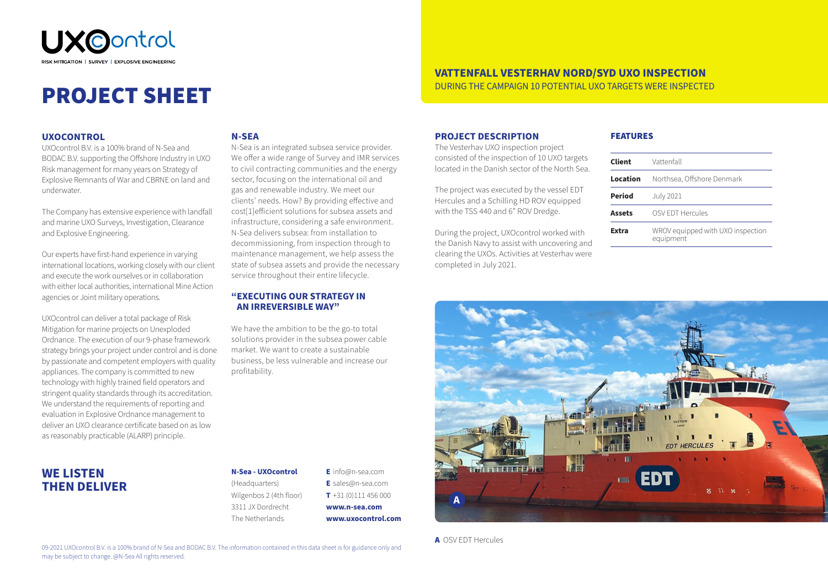

# PROJECT SHEET

### **UXOCONTROL**

UXOcontrol B.V. is a 100% brand of N-Sea and BODAC B.V. supporting the Offshore Industry in UXO Risk management for many years on Strategy of Explosive Remnants of War and CBRNE on land and underwater.

The Company has extensive experience with landfall and marine UXO Surveys, Investigation, Clearance and Explosive Engineering.

Our experts have first-hand experience in varying international locations, working closely with our client and execute the work ourselves or in collaboration with either local authorities, international Mine Action agencies or Joint military operations.

UXOcontrol can deliver a total package of Risk Mitigation for marine projects on Unexploded Ordnance. The execution of our 9-phase framework strategy brings your project under control and is done by passionate and competent employers with quality appliances. The company is committed to new technology with highly trained field operators and stringent quality standards through its accreditation. We understand the requirements of reporting and evaluation in Explosive Ordnance management to deliver an UXO clearance certificate based on as low as reasonably practicable (ALARP) principle.

## **N-SEA**

N-Sea is an integrated subsea service provider. We offer a wide range of Survey and IMR services to civil contracting communities and the energy sector, focusing on the international oil and gas and renewable industry. We meet our clients' needs. How? By providing effective and cost[1]efficient solutions for subsea assets and infrastructure, considering a safe environment. N-Sea delivers subsea: from installation to decommissioning, from inspection through to maintenance management, we help assess the state of subsea assets and provide the necessary service throughout their entire lifecycle.

## **"EXECUTING OUR STRATEGY IN AN IRREVERSIBLE WAY"**

We have the ambition to be the go-to total solutions provider in the subsea power cable market. We want to create a sustainable business, be less vulnerable and increase our profitability.

### **PROJECT DESCRIPTION**

The Vesterhav UXO inspection project consisted of the inspection of 10 UXO targets located in the Danish sector of the North Sea.

The project was executed by the vessel EDT Hercules and a Schilling HD ROV equipped with the TSS 440 and 6" ROV Dredge.

During the project, UXOcontrol worked with the Danish Navy to assist with uncovering and clearing the UXOs. Activities at Vesterhav were completed in July 2021.

#### FEATURES

**VATTENFALL VESTERHAV NORD/SYD UXO INSPECTION** DURING THE CAMPAIGN 10 POTENTIAL UXO TARGETS WERE INSPECTED

| Client        | Vattenfall                                     |
|---------------|------------------------------------------------|
| Location      | Northsea, Offshore Denmark                     |
| <b>Period</b> | <b>July 2021</b>                               |
| <b>Assets</b> | OSV EDT Hercules                               |
| Extra         | WROV equipped with UXO inspection<br>equipment |
|               |                                                |



# **WE LISTEN THEN DELIVER**

## **N-Sea - UXOcontrol**

(Headquarters) Wilgenbos 2 (4th floor) 3311 JX Dordrecht The Netherlands

**E** info@n-sea.com **E** sales@n-sea.com **T** +31 (0)111 456 000 **www.n-sea.com www.uxocontrol.com**

A OSV EDT Hercules

09-2021 UXOcontrol B.V. is a 100% brand of N-Sea and BODAC B.V. The information contained in this data sheet is for guidance only and may be subject to change. @N-Sea All rights reserved.